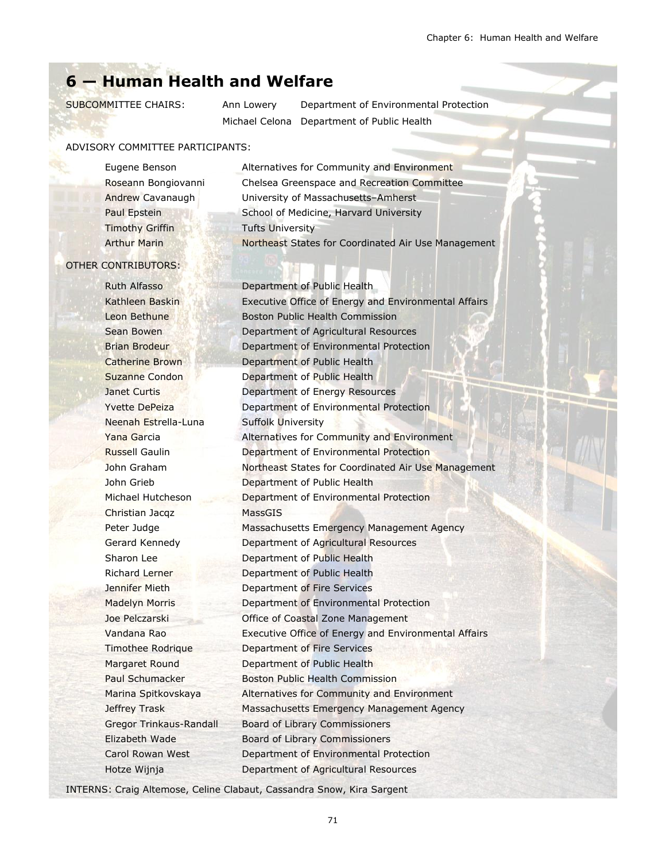# **6 — Human Health and Welfare**

SUBCOMMITTEE CHAIRS: Ann Lowery Department of Environmental Protection Michael Celona Department of Public Health

#### ADVISORY COMMITTEE PARTICIPANTS:

Timothy Griffin Tufts University

Eugene Benson Alternatives for Community and Environment Roseann Bongiovanni Chelsea Greenspace and Recreation Committee Andrew Cavanaugh University of Massachusetts–Amherst Paul Epstein School of Medicine, Harvard University Arthur Marin Northeast States for Coordinated Air Use Management

#### OTHER CONTRIBUTORS:

Ruth Alfasso Neenah Estrella-Luna Suffolk University Christian Jacqz MassGIS

Kathleen Baskin Executive Office of Energy and Environmental Affairs Leon Bethune Boston Public Health Commission Sean Bowen Department of Agricultural Resources Brian Brodeur **Department of Environmental Protection** Catherine Brown Department of Public Health Suzanne Condon **Department of Public Health Janet Curtis Curris Department of Energy Resources** Yvette DePeiza **Department of Environmental Protection** Yana Garcia **Alternatives for Community and Environment** Russell Gaulin Department of Environmental Protection John Graham **Northeast States for Coordinated Air Use Management** John Grieb Department of Public Health Michael Hutcheson Department of Environmental Protection Peter Judge Massachusetts Emergency Management Agency Gerard Kennedy Department of Agricultural Resources Sharon Lee **Department of Public Health** Richard Lerner Department of Public Health Jennifer Mieth Department of Fire Services Madelyn Morris Department of Environmental Protection Joe Pelczarski Office of Coastal Zone Management Vandana Rao Executive Office of Energy and Environmental Affairs Timothee Rodrique Department of Fire Services Margaret Round Department of Public Health Paul Schumacker Boston Public Health Commission Marina Spitkovskaya Alternatives for Community and Environment Jeffrey Trask Massachusetts Emergency Management Agency Gregor Trinkaus-Randall Board of Library Commissioners Elizabeth Wade Board of Library Commissioners Carol Rowan West Department of Environmental Protection Hotze Wijnja Department of Agricultural Resources

INTERNS: Craig Altemose, Celine Clabaut, Cassandra Snow, Kira Sargent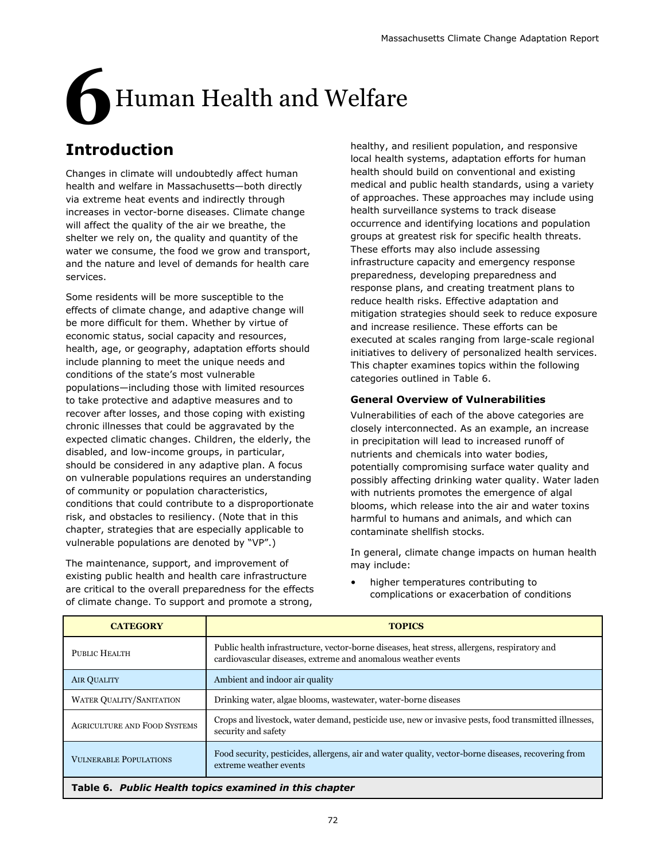# **6**Human Health and Welfare

# **Introduction**

Changes in climate will undoubtedly affect human health and welfare in Massachusetts—both directly via extreme heat events and indirectly through increases in vector-borne diseases. Climate change will affect the quality of the air we breathe, the shelter we rely on, the quality and quantity of the water we consume, the food we grow and transport, and the nature and level of demands for health care services.

Some residents will be more susceptible to the effects of climate change, and adaptive change will be more difficult for them. Whether by virtue of economic status, social capacity and resources, health, age, or geography, adaptation efforts should include planning to meet the unique needs and conditions of the state's most vulnerable populations—including those with limited resources to take protective and adaptive measures and to recover after losses, and those coping with existing chronic illnesses that could be aggravated by the expected climatic changes. Children, the elderly, the disabled, and low-income groups, in particular, should be considered in any adaptive plan. A focus on vulnerable populations requires an understanding of community or population characteristics, conditions that could contribute to a disproportionate risk, and obstacles to resiliency. (Note that in this chapter, strategies that are especially applicable to vulnerable populations are denoted by "VP".)

The maintenance, support, and improvement of existing public health and health care infrastructure are critical to the overall preparedness for the effects of climate change. To support and promote a strong,

healthy, and resilient population, and responsive local health systems, adaptation efforts for human health should build on conventional and existing medical and public health standards, using a variety of approaches. These approaches may include using health surveillance systems to track disease occurrence and identifying locations and population groups at greatest risk for specific health threats. These efforts may also include assessing infrastructure capacity and emergency response preparedness, developing preparedness and response plans, and creating treatment plans to reduce health risks. Effective adaptation and mitigation strategies should seek to reduce exposure and increase resilience. These efforts can be executed at scales ranging from large-scale regional initiatives to delivery of personalized health services. This chapter examines topics within the following categories outlined in Table 6.

### **General Overview of Vulnerabilities**

Vulnerabilities of each of the above categories are closely interconnected. As an example, an increase in precipitation will lead to increased runoff of nutrients and chemicals into water bodies, potentially compromising surface water quality and possibly affecting drinking water quality. Water laden with nutrients promotes the emergence of algal blooms, which release into the air and water toxins harmful to humans and animals, and which can contaminate shellfish stocks.

In general, climate change impacts on human health may include:

• higher temperatures contributing to complications or exacerbation of conditions

| <b>CATEGORY</b>                                           | <b>TOPICS</b>                                                                                                                                                 |
|-----------------------------------------------------------|---------------------------------------------------------------------------------------------------------------------------------------------------------------|
| PUBLIC HEALTH                                             | Public health infrastructure, vector-borne diseases, heat stress, allergens, respiratory and<br>cardiovascular diseases, extreme and anomalous weather events |
| <b>AIR QUALITY</b>                                        | Ambient and indoor air quality                                                                                                                                |
| <b>WATER QUALITY/SANITATION</b>                           | Drinking water, algae blooms, wastewater, water-borne diseases                                                                                                |
| <b>AGRICULTURE AND FOOD SYSTEMS</b>                       | Crops and livestock, water demand, pesticide use, new or invasive pests, food transmitted illnesses,<br>security and safety                                   |
| <b>VULNERABLE POPULATIONS</b>                             | Food security, pesticides, allergens, air and water quality, vector-borne diseases, recovering from<br>extreme weather events                                 |
| Buck His Hoodkhoppedies accounts and the thits also stays |                                                                                                                                                               |

**Table 6.** *Public Health topics examined in this chapter*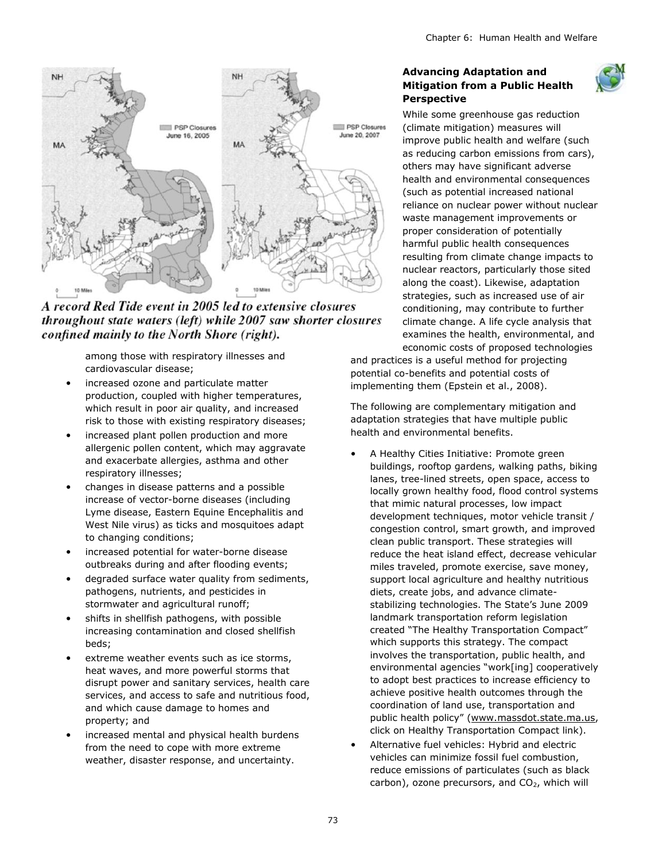

A record Red Tide event in 2005 led to extensive closures throughout state waters (left) while 2007 saw shorter closures confined mainly to the North Shore (right).

among those with respiratory illnesses and cardiovascular disease;

- increased ozone and particulate matter production, coupled with higher temperatures, which result in poor air quality, and increased risk to those with existing respiratory diseases;
- increased plant pollen production and more allergenic pollen content, which may aggravate and exacerbate allergies, asthma and other respiratory illnesses;
- changes in disease patterns and a possible increase of vector-borne diseases (including Lyme disease, Eastern Equine Encephalitis and West Nile virus) as ticks and mosquitoes adapt to changing conditions;
- increased potential for water-borne disease outbreaks during and after flooding events;
- degraded surface water quality from sediments, pathogens, nutrients, and pesticides in stormwater and agricultural runoff;
- shifts in shellfish pathogens, with possible increasing contamination and closed shellfish beds;
- extreme weather events such as ice storms, heat waves, and more powerful storms that disrupt power and sanitary services, health care services, and access to safe and nutritious food, and which cause damage to homes and property; and
- increased mental and physical health burdens from the need to cope with more extreme weather, disaster response, and uncertainty.

#### **Advancing Adaptation and Mitigation from a Public Health Perspective**



While some greenhouse gas reduction (climate mitigation) measures will improve public health and welfare (such as reducing carbon emissions from cars), others may have significant adverse health and environmental consequences (such as potential increased national reliance on nuclear power without nuclear waste management improvements or proper consideration of potentially harmful public health consequences resulting from climate change impacts to nuclear reactors, particularly those sited along the coast). Likewise, adaptation strategies, such as increased use of air conditioning, may contribute to further climate change. A life cycle analysis that examines the health, environmental, and economic costs of proposed technologies

and practices is a useful method for projecting potential co-benefits and potential costs of implementing them (Epstein et al., 2008).

The following are complementary mitigation and adaptation strategies that have multiple public health and environmental benefits.

- A Healthy Cities Initiative: Promote green buildings, rooftop gardens, walking paths, biking lanes, tree-lined streets, open space, access to locally grown healthy food, flood control systems that mimic natural processes, low impact development techniques, motor vehicle transit / congestion control, smart growth, and improved clean public transport. These strategies will reduce the heat island effect, decrease vehicular miles traveled, promote exercise, save money, support local agriculture and healthy nutritious diets, create jobs, and advance climatestabilizing technologies. The State's June 2009 landmark transportation reform legislation created "The Healthy Transportation Compact" which supports this strategy. The compact involves the transportation, public health, and environmental agencies "work[ing] cooperatively to adopt best practices to increase efficiency to achieve positive health outcomes through the coordination of land use, transportation and public health policy" ([www.massdot.state.ma.us,](http://www.massdot.state.ma.us) click on Healthy Transportation Compact link).
- Alternative fuel vehicles: Hybrid and electric vehicles can minimize fossil fuel combustion, reduce emissions of particulates (such as black carbon), ozone precursors, and  $CO<sub>2</sub>$ , which will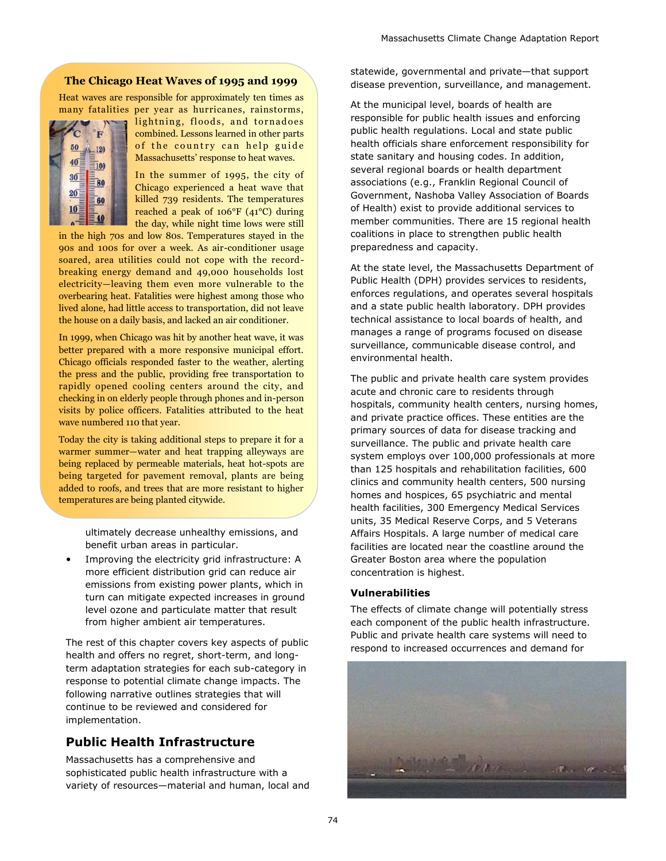#### **The Chicago Heat Waves of 1995 and 1999**

Heat waves are responsible for approximately ten times as many fatalities per year as hurricanes, rainstorms,



lightning, floods, and tornadoes combined. Lessons learned in other parts of the country can help guide Massachusetts' response to heat waves.

In the summer of 1995, the city of Chicago experienced a heat wave that killed 739 residents. The temperatures reached a peak of 106°F (41°C) during the day, while night time lows were still

in the high 70s and low 80s. Temperatures stayed in the 90s and 100s for over a week. As air-conditioner usage soared, area utilities could not cope with the recordbreaking energy demand and 49,000 households lost electricity—leaving them even more vulnerable to the overbearing heat. Fatalities were highest among those who lived alone, had little access to transportation, did not leave the house on a daily basis, and lacked an air conditioner.

In 1999, when Chicago was hit by another heat wave, it was better prepared with a more responsive municipal effort. Chicago officials responded faster to the weather, alerting the press and the public, providing free transportation to rapidly opened cooling centers around the city, and checking in on elderly people through phones and in-person visits by police officers. Fatalities attributed to the heat wave numbered 110 that year.

Today the city is taking additional steps to prepare it for a warmer summer—water and heat trapping alleyways are being replaced by permeable materials, heat hot-spots are being targeted for pavement removal, plants are being added to roofs, and trees that are more resistant to higher temperatures are being planted citywide.

> ultimately decrease unhealthy emissions, and benefit urban areas in particular.

Improving the electricity grid infrastructure: A more efficient distribution grid can reduce air emissions from existing power plants, which in turn can mitigate expected increases in ground level ozone and particulate matter that result from higher ambient air temperatures.

The rest of this chapter covers key aspects of public health and offers no regret, short-term, and longterm adaptation strategies for each sub-category in response to potential climate change impacts. The following narrative outlines strategies that will continue to be reviewed and considered for implementation.

# **Public Health Infrastructure**

Massachusetts has a comprehensive and sophisticated public health infrastructure with a variety of resources—material and human, local and statewide, governmental and private—that support disease prevention, surveillance, and management.

At the municipal level, boards of health are responsible for public health issues and enforcing public health regulations. Local and state public health officials share enforcement responsibility for state sanitary and housing codes. In addition, several regional boards or health department associations (e.g., Franklin Regional Council of Government, Nashoba Valley Association of Boards of Health) exist to provide additional services to member communities. There are 15 regional health coalitions in place to strengthen public health preparedness and capacity.

At the state level, the Massachusetts Department of Public Health (DPH) provides services to residents, enforces regulations, and operates several hospitals and a state public health laboratory. DPH provides technical assistance to local boards of health, and manages a range of programs focused on disease surveillance, communicable disease control, and environmental health.

The public and private health care system provides acute and chronic care to residents through hospitals, community health centers, nursing homes, and private practice offices. These entities are the primary sources of data for disease tracking and surveillance. The public and private health care system employs over 100,000 professionals at more than 125 hospitals and rehabilitation facilities, 600 clinics and community health centers, 500 nursing homes and hospices, 65 psychiatric and mental health facilities, 300 Emergency Medical Services units, 35 Medical Reserve Corps, and 5 Veterans Affairs Hospitals. A large number of medical care facilities are located near the coastline around the Greater Boston area where the population concentration is highest.

#### **Vulnerabilities**

The effects of climate change will potentially stress each component of the public health infrastructure. Public and private health care systems will need to respond to increased occurrences and demand for

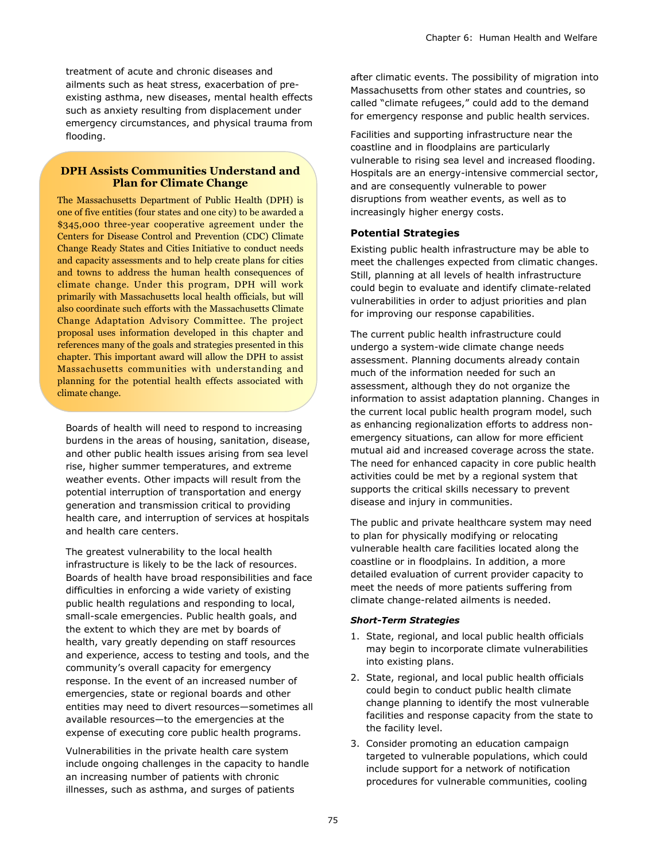treatment of acute and chronic diseases and ailments such as heat stress, exacerbation of preexisting asthma, new diseases, mental health effects such as anxiety resulting from displacement under emergency circumstances, and physical trauma from flooding.

#### **DPH Assists Communities Understand and Plan for Climate Change**

The Massachusetts Department of Public Health (DPH) is one of five entities (four states and one city) to be awarded a \$345,000 three-year cooperative agreement under the Centers for Disease Control and Prevention (CDC) Climate Change Ready States and Cities Initiative to conduct needs and capacity assessments and to help create plans for cities and towns to address the human health consequences of climate change. Under this program, DPH will work primarily with Massachusetts local health officials, but will also coordinate such efforts with the Massachusetts Climate Change Adaptation Advisory Committee. The project proposal uses information developed in this chapter and references many of the goals and strategies presented in this chapter. This important award will allow the DPH to assist Massachusetts communities with understanding and planning for the potential health effects associated with climate change.

Boards of health will need to respond to increasing burdens in the areas of housing, sanitation, disease, and other public health issues arising from sea level rise, higher summer temperatures, and extreme weather events. Other impacts will result from the potential interruption of transportation and energy generation and transmission critical to providing health care, and interruption of services at hospitals and health care centers.

The greatest vulnerability to the local health infrastructure is likely to be the lack of resources. Boards of health have broad responsibilities and face difficulties in enforcing a wide variety of existing public health regulations and responding to local, small-scale emergencies. Public health goals, and the extent to which they are met by boards of health, vary greatly depending on staff resources and experience, access to testing and tools, and the community's overall capacity for emergency response. In the event of an increased number of emergencies, state or regional boards and other entities may need to divert resources—sometimes all available resources—to the emergencies at the expense of executing core public health programs.

Vulnerabilities in the private health care system include ongoing challenges in the capacity to handle an increasing number of patients with chronic illnesses, such as asthma, and surges of patients

after climatic events. The possibility of migration into Massachusetts from other states and countries, so called "climate refugees," could add to the demand for emergency response and public health services.

Facilities and supporting infrastructure near the coastline and in floodplains are particularly vulnerable to rising sea level and increased flooding. Hospitals are an energy-intensive commercial sector, and are consequently vulnerable to power disruptions from weather events, as well as to increasingly higher energy costs.

#### **Potential Strategies**

Existing public health infrastructure may be able to meet the challenges expected from climatic changes. Still, planning at all levels of health infrastructure could begin to evaluate and identify climate-related vulnerabilities in order to adjust priorities and plan for improving our response capabilities.

The current public health infrastructure could undergo a system-wide climate change needs assessment. Planning documents already contain much of the information needed for such an assessment, although they do not organize the information to assist adaptation planning. Changes in the current local public health program model, such as enhancing regionalization efforts to address nonemergency situations, can allow for more efficient mutual aid and increased coverage across the state. The need for enhanced capacity in core public health activities could be met by a regional system that supports the critical skills necessary to prevent disease and injury in communities.

The public and private healthcare system may need to plan for physically modifying or relocating vulnerable health care facilities located along the coastline or in floodplains. In addition, a more detailed evaluation of current provider capacity to meet the needs of more patients suffering from climate change-related ailments is needed.

#### *Short-Term Strategies*

- 1. State, regional, and local public health officials may begin to incorporate climate vulnerabilities into existing plans.
- 2. State, regional, and local public health officials could begin to conduct public health climate change planning to identify the most vulnerable facilities and response capacity from the state to the facility level.
- 3. Consider promoting an education campaign targeted to vulnerable populations, which could include support for a network of notification procedures for vulnerable communities, cooling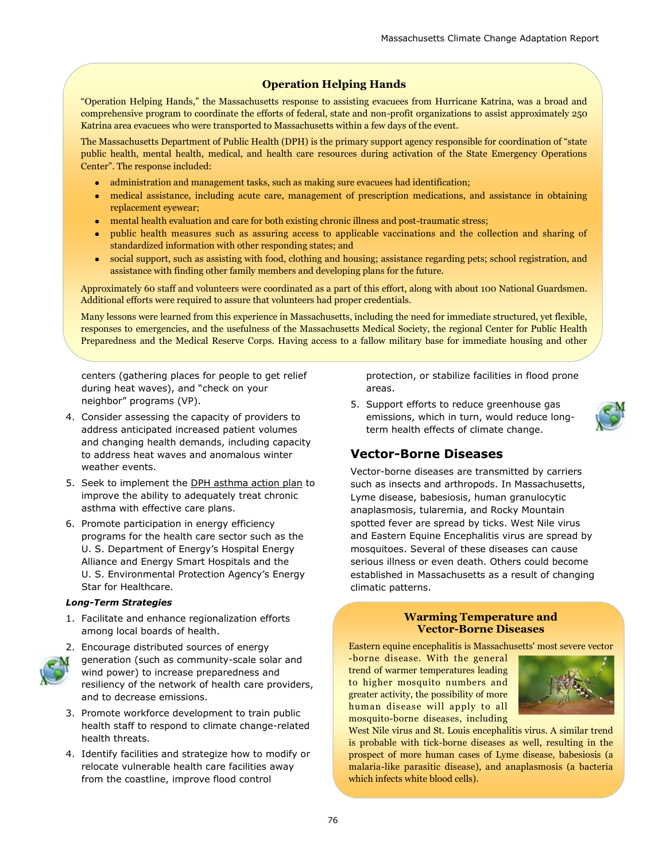#### **Operation Helping Hands**

―Operation Helping Hands,‖ the Massachusetts response to assisting evacuees from Hurricane Katrina, was a broad and comprehensive program to coordinate the efforts of federal, state and non-profit organizations to assist approximately 250 Katrina area evacuees who were transported to Massachusetts within a few days of the event.

The Massachusetts Department of Public Health (DPH) is the primary support agency responsible for coordination of "state public health, mental health, medical, and health care resources during activation of the State Emergency Operations Center". The response included:

- administration and management tasks, such as making sure evacuees had identification;
- medical assistance, including acute care, management of prescription medications, and assistance in obtaining  $\bullet$ replacement eyewear;
- mental health evaluation and care for both existing chronic illness and post-traumatic stress;
- public health measures such as assuring access to applicable vaccinations and the collection and sharing of standardized information with other responding states; and
- social support, such as assisting with food, clothing and housing; assistance regarding pets; school registration, and  $\bullet$  . assistance with finding other family members and developing plans for the future.

Approximately 60 staff and volunteers were coordinated as a part of this effort, along with about 100 National Guardsmen. Additional efforts were required to assure that volunteers had proper credentials.

Many lessons were learned from this experience in Massachusetts, including the need for immediate structured, yet flexible, responses to emergencies, and the usefulness of the Massachusetts Medical Society, the regional Center for Public Health Preparedness and the Medical Reserve Corps. Having access to a fallow military base for immediate housing and other

centers (gathering places for people to get relief during heat waves), and "check on your neighbor" programs (VP).

- 4. Consider assessing the capacity of providers to address anticipated increased patient volumes and changing health demands, including capacity to address heat waves and anomalous winter weather events.
- 5. Seek to implement the [DPH asthma action plan](http://www.mass.gov/Eeohhs2/docs/dph/com_health/asthma/state_plan.pdf) to improve the ability to adequately treat chronic asthma with effective care plans.
- 6. Promote participation in energy efficiency programs for the health care sector such as the U. S. Department of Energy's Hospital Energy Alliance and Energy Smart Hospitals and the U. S. Environmental Protection Agency's Energy Star for Healthcare.

#### *Long-Term Strategies*

1. Facilitate and enhance regionalization efforts among local boards of health.



2. Encourage distributed sources of energy generation (such as community-scale solar and wind power) to increase preparedness and resiliency of the network of health care providers, and to decrease emissions.

- 3. Promote workforce development to train public health staff to respond to climate change-related health threats.
- 4. Identify facilities and strategize how to modify or relocate vulnerable health care facilities away from the coastline, improve flood control

protection, or stabilize facilities in flood prone areas.

5. Support efforts to reduce greenhouse gas emissions, which in turn, would reduce longterm health effects of climate change.

## **Vector-Borne Diseases**

Vector-borne diseases are transmitted by carriers such as insects and arthropods. In Massachusetts, Lyme disease, babesiosis, human granulocytic anaplasmosis, tularemia, and Rocky Mountain spotted fever are spread by ticks. West Nile virus and Eastern Equine Encephalitis virus are spread by mosquitoes. Several of these diseases can cause serious illness or even death. Others could become established in Massachusetts as a result of changing climatic patterns.



Eastern equine encephalitis is Massachusetts' most severe vector

-borne disease. With the general trend of warmer temperatures leading to higher mosquito numbers and greater activity, the possibility of more human disease will apply to all mosquito-borne diseases, including



West Nile virus and St. Louis encephalitis virus. A similar trend is probable with tick-borne diseases as well, resulting in the prospect of more human cases of Lyme disease, babesiosis (a malaria-like parasitic disease), and anaplasmosis (a bacteria which infects white blood cells).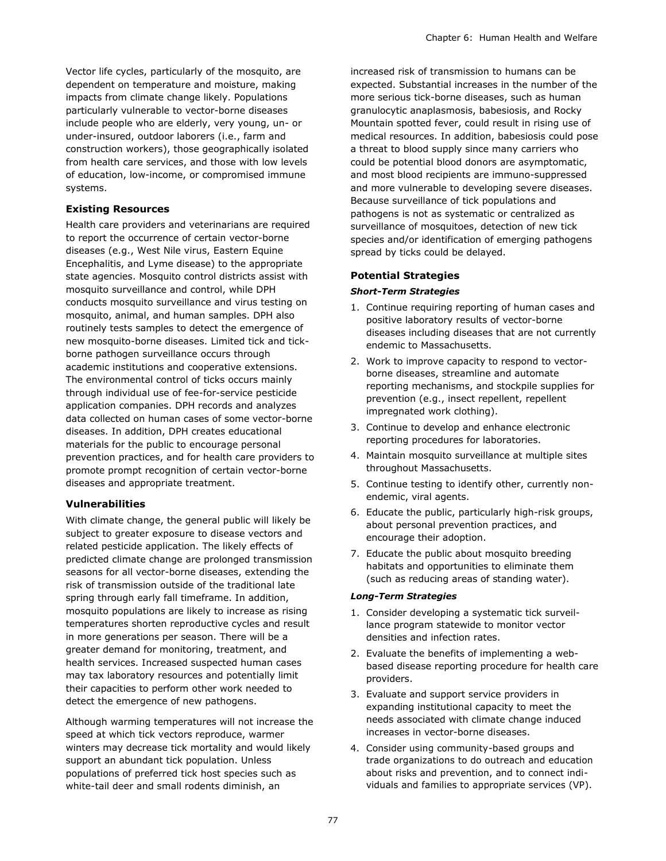Vector life cycles, particularly of the mosquito, are dependent on temperature and moisture, making impacts from climate change likely. Populations particularly vulnerable to vector-borne diseases include people who are elderly, very young, un- or under-insured, outdoor laborers (i.e., farm and construction workers), those geographically isolated from health care services, and those with low levels of education, low-income, or compromised immune systems.

#### **Existing Resources**

Health care providers and veterinarians are required to report the occurrence of certain vector-borne diseases (e.g., West Nile virus, Eastern Equine Encephalitis, and Lyme disease) to the appropriate state agencies. Mosquito control districts assist with mosquito surveillance and control, while DPH conducts mosquito surveillance and virus testing on mosquito, animal, and human samples. DPH also routinely tests samples to detect the emergence of new mosquito-borne diseases. Limited tick and tickborne pathogen surveillance occurs through academic institutions and cooperative extensions. The environmental control of ticks occurs mainly through individual use of fee-for-service pesticide application companies. DPH records and analyzes data collected on human cases of some vector-borne diseases. In addition, DPH creates educational materials for the public to encourage personal prevention practices, and for health care providers to promote prompt recognition of certain vector-borne diseases and appropriate treatment.

#### **Vulnerabilities**

With climate change, the general public will likely be subject to greater exposure to disease vectors and related pesticide application. The likely effects of predicted climate change are prolonged transmission seasons for all vector-borne diseases, extending the risk of transmission outside of the traditional late spring through early fall timeframe. In addition, mosquito populations are likely to increase as rising temperatures shorten reproductive cycles and result in more generations per season. There will be a greater demand for monitoring, treatment, and health services. Increased suspected human cases may tax laboratory resources and potentially limit their capacities to perform other work needed to detect the emergence of new pathogens.

Although warming temperatures will not increase the speed at which tick vectors reproduce, warmer winters may decrease tick mortality and would likely support an abundant tick population. Unless populations of preferred tick host species such as white-tail deer and small rodents diminish, an

increased risk of transmission to humans can be expected. Substantial increases in the number of the more serious tick-borne diseases, such as human granulocytic anaplasmosis, babesiosis, and Rocky Mountain spotted fever, could result in rising use of medical resources. In addition, babesiosis could pose a threat to blood supply since many carriers who could be potential blood donors are asymptomatic, and most blood recipients are immuno-suppressed and more vulnerable to developing severe diseases. Because surveillance of tick populations and pathogens is not as systematic or centralized as surveillance of mosquitoes, detection of new tick species and/or identification of emerging pathogens spread by ticks could be delayed.

#### **Potential Strategies**

#### *Short-Term Strategies*

- 1. Continue requiring reporting of human cases and positive laboratory results of vector-borne diseases including diseases that are not currently endemic to Massachusetts.
- 2. Work to improve capacity to respond to vectorborne diseases, streamline and automate reporting mechanisms, and stockpile supplies for prevention (e.g., insect repellent, repellent impregnated work clothing).
- 3. Continue to develop and enhance electronic reporting procedures for laboratories.
- 4. Maintain mosquito surveillance at multiple sites throughout Massachusetts.
- 5. Continue testing to identify other, currently nonendemic, viral agents.
- 6. Educate the public, particularly high-risk groups, about personal prevention practices, and encourage their adoption.
- 7. Educate the public about mosquito breeding habitats and opportunities to eliminate them (such as reducing areas of standing water).

#### *Long-Term Strategies*

- 1. Consider developing a systematic tick surveillance program statewide to monitor vector densities and infection rates.
- 2. Evaluate the benefits of implementing a webbased disease reporting procedure for health care providers.
- 3. Evaluate and support service providers in expanding institutional capacity to meet the needs associated with climate change induced increases in vector-borne diseases.
- 4. Consider using community-based groups and trade organizations to do outreach and education about risks and prevention, and to connect individuals and families to appropriate services (VP).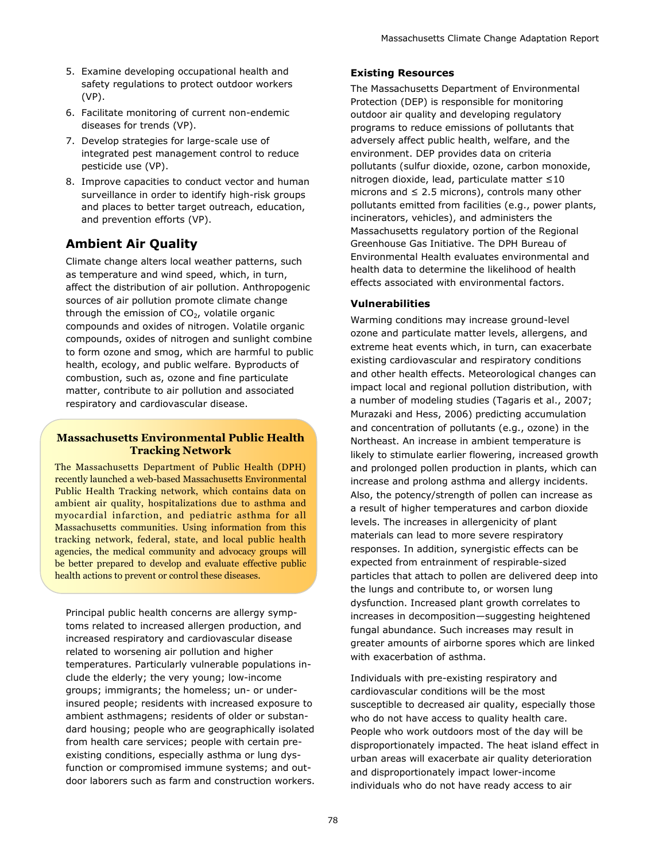- 5. Examine developing occupational health and safety regulations to protect outdoor workers (VP).
- 6. Facilitate monitoring of current non-endemic diseases for trends (VP).
- 7. Develop strategies for large-scale use of integrated pest management control to reduce pesticide use (VP).
- 8. Improve capacities to conduct vector and human surveillance in order to identify high-risk groups and places to better target outreach, education, and prevention efforts (VP).

# **Ambient Air Quality**

Climate change alters local weather patterns, such as temperature and wind speed, which, in turn, affect the distribution of air pollution. Anthropogenic sources of air pollution promote climate change through the emission of  $CO<sub>2</sub>$ , volatile organic compounds and oxides of nitrogen. Volatile organic compounds, oxides of nitrogen and sunlight combine to form ozone and smog, which are harmful to public health, ecology, and public welfare. Byproducts of combustion, such as, ozone and fine particulate matter, contribute to air pollution and associated respiratory and cardiovascular disease.

#### **Massachusetts Environmental Public Health Tracking Network**

The Massachusetts Department of Public Health (DPH) recently launched a web-based Massachusetts Environmental Public Health Tracking network, which contains data on ambient air quality, hospitalizations due to asthma and myocardial infarction, and pediatric asthma for all Massachusetts communities. Using information from this tracking network, federal, state, and local public health agencies, the medical community and advocacy groups will be better prepared to develop and evaluate effective public health actions to prevent or control these diseases.

Principal public health concerns are allergy symptoms related to increased allergen production, and increased respiratory and cardiovascular disease related to worsening air pollution and higher temperatures. Particularly vulnerable populations include the elderly; the very young; low-income groups; immigrants; the homeless; un- or underinsured people; residents with increased exposure to ambient asthmagens; residents of older or substandard housing; people who are geographically isolated from health care services; people with certain preexisting conditions, especially asthma or lung dysfunction or compromised immune systems; and outdoor laborers such as farm and construction workers.

#### **Existing Resources**

The Massachusetts Department of Environmental Protection (DEP) is responsible for monitoring outdoor air quality and developing regulatory programs to reduce emissions of pollutants that adversely affect public health, welfare, and the environment. DEP provides data on criteria pollutants (sulfur dioxide, ozone, carbon monoxide, nitrogen dioxide, lead, particulate matter ≤10 microns and  $\leq$  2.5 microns), controls many other pollutants emitted from facilities (e.g., power plants, incinerators, vehicles), and administers the Massachusetts regulatory portion of the Regional Greenhouse Gas Initiative. The DPH Bureau of Environmental Health evaluates environmental and health data to determine the likelihood of health effects associated with environmental factors.

#### **Vulnerabilities**

Warming conditions may increase ground-level ozone and particulate matter levels, allergens, and extreme heat events which, in turn, can exacerbate existing cardiovascular and respiratory conditions and other health effects. Meteorological changes can impact local and regional pollution distribution, with a number of modeling studies (Tagaris et al., 2007; Murazaki and Hess, 2006) predicting accumulation and concentration of pollutants (e.g., ozone) in the Northeast. An increase in ambient temperature is likely to stimulate earlier flowering, increased growth and prolonged pollen production in plants, which can increase and prolong asthma and allergy incidents. Also, the potency/strength of pollen can increase as a result of higher temperatures and carbon dioxide levels. The increases in allergenicity of plant materials can lead to more severe respiratory responses. In addition, synergistic effects can be expected from entrainment of respirable-sized particles that attach to pollen are delivered deep into the lungs and contribute to, or worsen lung dysfunction. Increased plant growth correlates to increases in decomposition—suggesting heightened fungal abundance. Such increases may result in greater amounts of airborne spores which are linked with exacerbation of asthma.

Individuals with pre-existing respiratory and cardiovascular conditions will be the most susceptible to decreased air quality, especially those who do not have access to quality health care. People who work outdoors most of the day will be disproportionately impacted. The heat island effect in urban areas will exacerbate air quality deterioration and disproportionately impact lower-income individuals who do not have ready access to air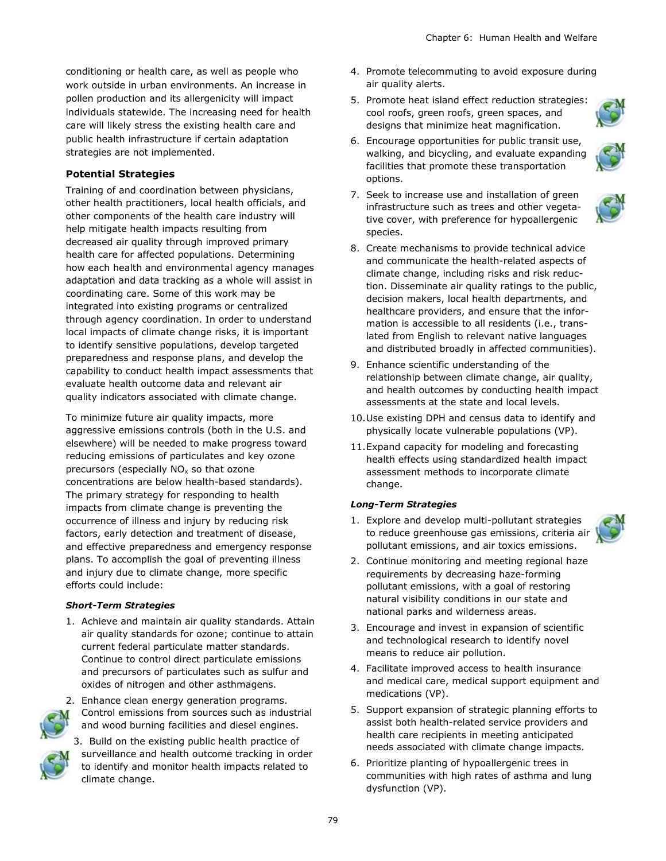conditioning or health care, as well as people who work outside in urban environments. An increase in pollen production and its allergenicity will impact individuals statewide. The increasing need for health care will likely stress the existing health care and public health infrastructure if certain adaptation strategies are not implemented.

#### **Potential Strategies**

Training of and coordination between physicians, other health practitioners, local health officials, and other components of the health care industry will help mitigate health impacts resulting from decreased air quality through improved primary health care for affected populations. Determining how each health and environmental agency manages adaptation and data tracking as a whole will assist in coordinating care. Some of this work may be integrated into existing programs or centralized through agency coordination. In order to understand local impacts of climate change risks, it is important to identify sensitive populations, develop targeted preparedness and response plans, and develop the capability to conduct health impact assessments that evaluate health outcome data and relevant air quality indicators associated with climate change.

To minimize future air quality impacts, more aggressive emissions controls (both in the U.S. and elsewhere) will be needed to make progress toward reducing emissions of particulates and key ozone precursors (especially  $NO<sub>x</sub>$  so that ozone concentrations are below health-based standards). The primary strategy for responding to health impacts from climate change is preventing the occurrence of illness and injury by reducing risk factors, early detection and treatment of disease, and effective preparedness and emergency response plans. To accomplish the goal of preventing illness and injury due to climate change, more specific efforts could include:

#### *Short-Term Strategies*

1. Achieve and maintain air quality standards. Attain air quality standards for ozone; continue to attain current federal particulate matter standards. Continue to control direct particulate emissions and precursors of particulates such as sulfur and oxides of nitrogen and other asthmagens.



- 2. Enhance clean energy generation programs. Control emissions from sources such as industrial and wood burning facilities and diesel engines.
- 
- 3. Build on the existing public health practice of surveillance and health outcome tracking in order to identify and monitor health impacts related to climate change.
- 4. Promote telecommuting to avoid exposure during air quality alerts.
- 5. Promote heat island effect reduction strategies: cool roofs, green roofs, green spaces, and designs that minimize heat magnification.
- 6. Encourage opportunities for public transit use, walking, and bicycling, and evaluate expanding facilities that promote these transportation options.



- 7. Seek to increase use and installation of green infrastructure such as trees and other vegetative cover, with preference for hypoallergenic species.
- 8. Create mechanisms to provide technical advice and communicate the health-related aspects of climate change, including risks and risk reduction. Disseminate air quality ratings to the public, decision makers, local health departments, and healthcare providers, and ensure that the information is accessible to all residents (i.e., translated from English to relevant native languages and distributed broadly in affected communities).
- 9. Enhance scientific understanding of the relationship between climate change, air quality, and health outcomes by conducting health impact assessments at the state and local levels.
- 10.Use existing DPH and census data to identify and physically locate vulnerable populations (VP).
- 11.Expand capacity for modeling and forecasting health effects using standardized health impact assessment methods to incorporate climate change.

#### *Long-Term Strategies*

1. Explore and develop multi-pollutant strategies to reduce greenhouse gas emissions, criteria air pollutant emissions, and air toxics emissions.



3. Encourage and invest in expansion of scientific and technological research to identify novel means to reduce air pollution.

national parks and wilderness areas.

- 4. Facilitate improved access to health insurance and medical care, medical support equipment and medications (VP).
- 5. Support expansion of strategic planning efforts to assist both health-related service providers and health care recipients in meeting anticipated needs associated with climate change impacts.
- 6. Prioritize planting of hypoallergenic trees in communities with high rates of asthma and lung dysfunction (VP).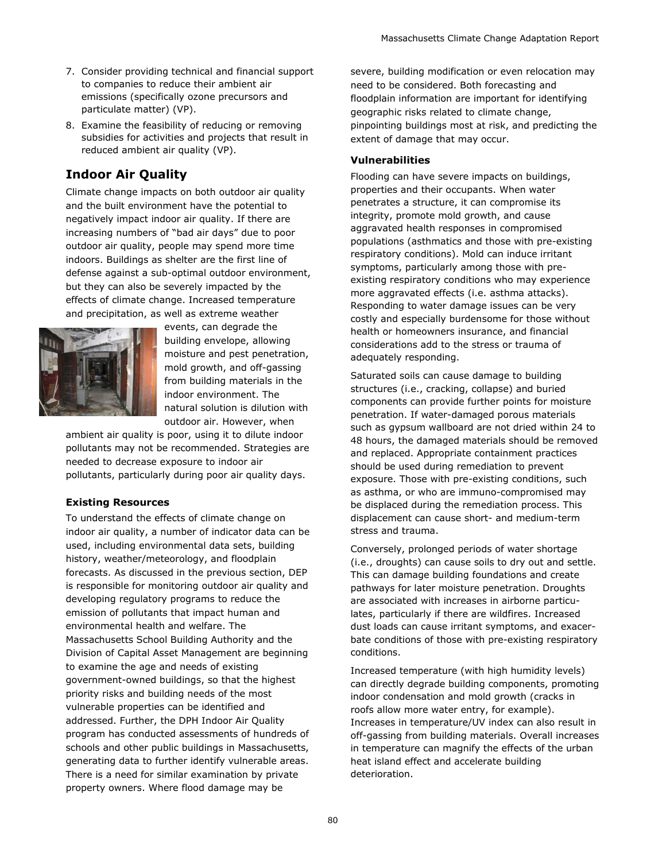- 7. Consider providing technical and financial support to companies to reduce their ambient air emissions (specifically ozone precursors and particulate matter) (VP).
- 8. Examine the feasibility of reducing or removing subsidies for activities and projects that result in reduced ambient air quality (VP).

# **Indoor Air Quality**

Climate change impacts on both outdoor air quality and the built environment have the potential to negatively impact indoor air quality. If there are increasing numbers of "bad air days" due to poor outdoor air quality, people may spend more time indoors. Buildings as shelter are the first line of defense against a sub-optimal outdoor environment, but they can also be severely impacted by the effects of climate change. Increased temperature and precipitation, as well as extreme weather



events, can degrade the building envelope, allowing moisture and pest penetration, mold growth, and off-gassing from building materials in the indoor environment. The natural solution is dilution with outdoor air. However, when

ambient air quality is poor, using it to dilute indoor pollutants may not be recommended. Strategies are needed to decrease exposure to indoor air pollutants, particularly during poor air quality days.

#### **Existing Resources**

To understand the effects of climate change on indoor air quality, a number of indicator data can be used, including environmental data sets, building history, weather/meteorology, and floodplain forecasts. As discussed in the previous section, DEP is responsible for monitoring outdoor air quality and developing regulatory programs to reduce the emission of pollutants that impact human and environmental health and welfare. The Massachusetts School Building Authority and the Division of Capital Asset Management are beginning to examine the age and needs of existing government-owned buildings, so that the highest priority risks and building needs of the most vulnerable properties can be identified and addressed. Further, the DPH Indoor Air Quality program has conducted assessments of hundreds of schools and other public buildings in Massachusetts, generating data to further identify vulnerable areas. There is a need for similar examination by private property owners. Where flood damage may be

severe, building modification or even relocation may need to be considered. Both forecasting and floodplain information are important for identifying geographic risks related to climate change, pinpointing buildings most at risk, and predicting the extent of damage that may occur.

#### **Vulnerabilities**

Flooding can have severe impacts on buildings, properties and their occupants. When water penetrates a structure, it can compromise its integrity, promote mold growth, and cause aggravated health responses in compromised populations (asthmatics and those with pre-existing respiratory conditions). Mold can induce irritant symptoms, particularly among those with preexisting respiratory conditions who may experience more aggravated effects (i.e. asthma attacks). Responding to water damage issues can be very costly and especially burdensome for those without health or homeowners insurance, and financial considerations add to the stress or trauma of adequately responding.

Saturated soils can cause damage to building structures (i.e., cracking, collapse) and buried components can provide further points for moisture penetration. If water-damaged porous materials such as gypsum wallboard are not dried within 24 to 48 hours, the damaged materials should be removed and replaced. Appropriate containment practices should be used during remediation to prevent exposure. Those with pre-existing conditions, such as asthma, or who are immuno-compromised may be displaced during the remediation process. This displacement can cause short- and medium-term stress and trauma.

Conversely, prolonged periods of water shortage (i.e., droughts) can cause soils to dry out and settle. This can damage building foundations and create pathways for later moisture penetration. Droughts are associated with increases in airborne particulates, particularly if there are wildfires. Increased dust loads can cause irritant symptoms, and exacerbate conditions of those with pre-existing respiratory conditions.

Increased temperature (with high humidity levels) can directly degrade building components, promoting indoor condensation and mold growth (cracks in roofs allow more water entry, for example). Increases in temperature/UV index can also result in off-gassing from building materials. Overall increases in temperature can magnify the effects of the urban heat island effect and accelerate building deterioration.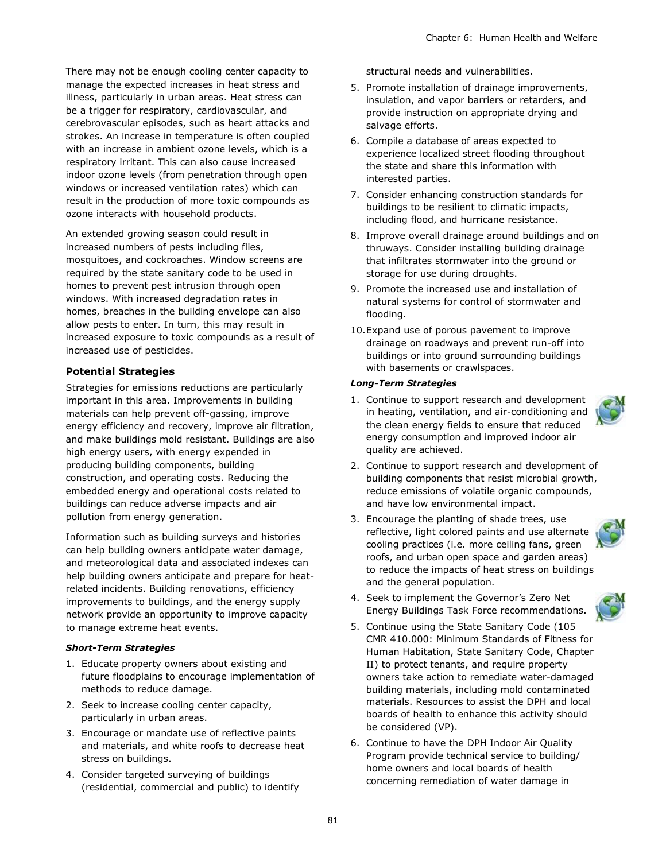There may not be enough cooling center capacity to manage the expected increases in heat stress and illness, particularly in urban areas. Heat stress can be a trigger for respiratory, cardiovascular, and cerebrovascular episodes, such as heart attacks and strokes. An increase in temperature is often coupled with an increase in ambient ozone levels, which is a respiratory irritant. This can also cause increased indoor ozone levels (from penetration through open windows or increased ventilation rates) which can result in the production of more toxic compounds as ozone interacts with household products.

An extended growing season could result in increased numbers of pests including flies, mosquitoes, and cockroaches. Window screens are required by the state sanitary code to be used in homes to prevent pest intrusion through open windows. With increased degradation rates in homes, breaches in the building envelope can also allow pests to enter. In turn, this may result in increased exposure to toxic compounds as a result of increased use of pesticides.

#### **Potential Strategies**

Strategies for emissions reductions are particularly important in this area. Improvements in building materials can help prevent off-gassing, improve energy efficiency and recovery, improve air filtration, and make buildings mold resistant. Buildings are also high energy users, with energy expended in producing building components, building construction, and operating costs. Reducing the embedded energy and operational costs related to buildings can reduce adverse impacts and air pollution from energy generation.

Information such as building surveys and histories can help building owners anticipate water damage, and meteorological data and associated indexes can help building owners anticipate and prepare for heatrelated incidents. Building renovations, efficiency improvements to buildings, and the energy supply network provide an opportunity to improve capacity to manage extreme heat events.

#### *Short-Term Strategies*

- 1. Educate property owners about existing and future floodplains to encourage implementation of methods to reduce damage.
- 2. Seek to increase cooling center capacity, particularly in urban areas.
- 3. Encourage or mandate use of reflective paints and materials, and white roofs to decrease heat stress on buildings.
- 4. Consider targeted surveying of buildings (residential, commercial and public) to identify

structural needs and vulnerabilities.

- 5. Promote installation of drainage improvements, insulation, and vapor barriers or retarders, and provide instruction on appropriate drying and salvage efforts.
- 6. Compile a database of areas expected to experience localized street flooding throughout the state and share this information with interested parties.
- 7. Consider enhancing construction standards for buildings to be resilient to climatic impacts, including flood, and hurricane resistance.
- 8. Improve overall drainage around buildings and on thruways. Consider installing building drainage that infiltrates stormwater into the ground or storage for use during droughts.
- 9. Promote the increased use and installation of natural systems for control of stormwater and flooding.
- 10.Expand use of porous pavement to improve drainage on roadways and prevent run-off into buildings or into ground surrounding buildings with basements or crawlspaces.

#### *Long-Term Strategies*

- 1. Continue to support research and development in heating, ventilation, and air-conditioning and the clean energy fields to ensure that reduced energy consumption and improved indoor air quality are achieved.
- 2. Continue to support research and development of building components that resist microbial growth, reduce emissions of volatile organic compounds, and have low environmental impact.
- 3. Encourage the planting of shade trees, use reflective, light colored paints and use alternate cooling practices (i.e. more ceiling fans, green roofs, and urban open space and garden areas) to reduce the impacts of heat stress on buildings and the general population.



- 4. Seek to implement the Governor's Zero Net Energy Buildings Task Force recommendations.
- 5. Continue using the State Sanitary Code (105 CMR 410.000: Minimum Standards of Fitness for Human Habitation, State Sanitary Code, Chapter II) to protect tenants, and require property owners take action to remediate water-damaged building materials, including mold contaminated materials. Resources to assist the DPH and local boards of health to enhance this activity should be considered (VP).
- 6. Continue to have the DPH Indoor Air Quality Program provide technical service to building/ home owners and local boards of health concerning remediation of water damage in

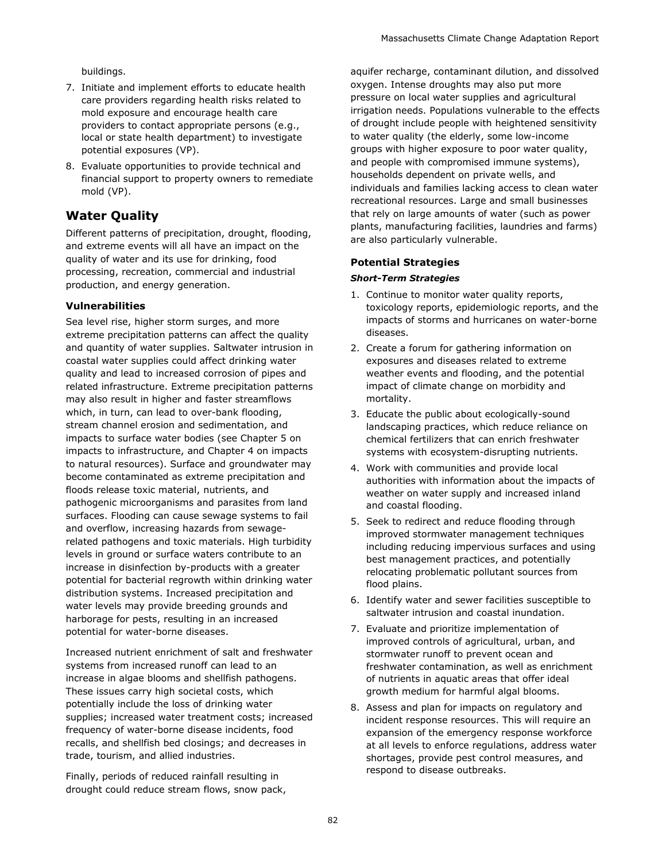buildings.

- 7. Initiate and implement efforts to educate health care providers regarding health risks related to mold exposure and encourage health care providers to contact appropriate persons (e.g., local or state health department) to investigate potential exposures (VP).
- 8. Evaluate opportunities to provide technical and financial support to property owners to remediate mold (VP).

# **Water Quality**

Different patterns of precipitation, drought, flooding, and extreme events will all have an impact on the quality of water and its use for drinking, food processing, recreation, commercial and industrial production, and energy generation.

#### **Vulnerabilities**

Sea level rise, higher storm surges, and more extreme precipitation patterns can affect the quality and quantity of water supplies. Saltwater intrusion in coastal water supplies could affect drinking water quality and lead to increased corrosion of pipes and related infrastructure. Extreme precipitation patterns may also result in higher and faster streamflows which, in turn, can lead to over-bank flooding, stream channel erosion and sedimentation, and impacts to surface water bodies (see Chapter 5 on impacts to infrastructure, and Chapter 4 on impacts to natural resources). Surface and groundwater may become contaminated as extreme precipitation and floods release toxic material, nutrients, and pathogenic microorganisms and parasites from land surfaces. Flooding can cause sewage systems to fail and overflow, increasing hazards from sewagerelated pathogens and toxic materials. High turbidity levels in ground or surface waters contribute to an increase in disinfection by-products with a greater potential for bacterial regrowth within drinking water distribution systems. Increased precipitation and water levels may provide breeding grounds and harborage for pests, resulting in an increased potential for water-borne diseases.

Increased nutrient enrichment of salt and freshwater systems from increased runoff can lead to an increase in algae blooms and shellfish pathogens. These issues carry high societal costs, which potentially include the loss of drinking water supplies; increased water treatment costs; increased frequency of water-borne disease incidents, food recalls, and shellfish bed closings; and decreases in trade, tourism, and allied industries.

Finally, periods of reduced rainfall resulting in drought could reduce stream flows, snow pack, aquifer recharge, contaminant dilution, and dissolved oxygen. Intense droughts may also put more pressure on local water supplies and agricultural irrigation needs. Populations vulnerable to the effects of drought include people with heightened sensitivity to water quality (the elderly, some low-income groups with higher exposure to poor water quality, and people with compromised immune systems), households dependent on private wells, and individuals and families lacking access to clean water recreational resources. Large and small businesses that rely on large amounts of water (such as power plants, manufacturing facilities, laundries and farms) are also particularly vulnerable.

#### **Potential Strategies**

#### *Short-Term Strategies*

- 1. Continue to monitor water quality reports, toxicology reports, epidemiologic reports, and the impacts of storms and hurricanes on water-borne diseases.
- 2. Create a forum for gathering information on exposures and diseases related to extreme weather events and flooding, and the potential impact of climate change on morbidity and mortality.
- 3. Educate the public about ecologically-sound landscaping practices, which reduce reliance on chemical fertilizers that can enrich freshwater systems with ecosystem-disrupting nutrients.
- 4. Work with communities and provide local authorities with information about the impacts of weather on water supply and increased inland and coastal flooding.
- 5. Seek to redirect and reduce flooding through improved stormwater management techniques including reducing impervious surfaces and using best management practices, and potentially relocating problematic pollutant sources from flood plains.
- 6. Identify water and sewer facilities susceptible to saltwater intrusion and coastal inundation.
- 7. Evaluate and prioritize implementation of improved controls of agricultural, urban, and stormwater runoff to prevent ocean and freshwater contamination, as well as enrichment of nutrients in aquatic areas that offer ideal growth medium for harmful algal blooms.
- 8. Assess and plan for impacts on regulatory and incident response resources. This will require an expansion of the emergency response workforce at all levels to enforce regulations, address water shortages, provide pest control measures, and respond to disease outbreaks.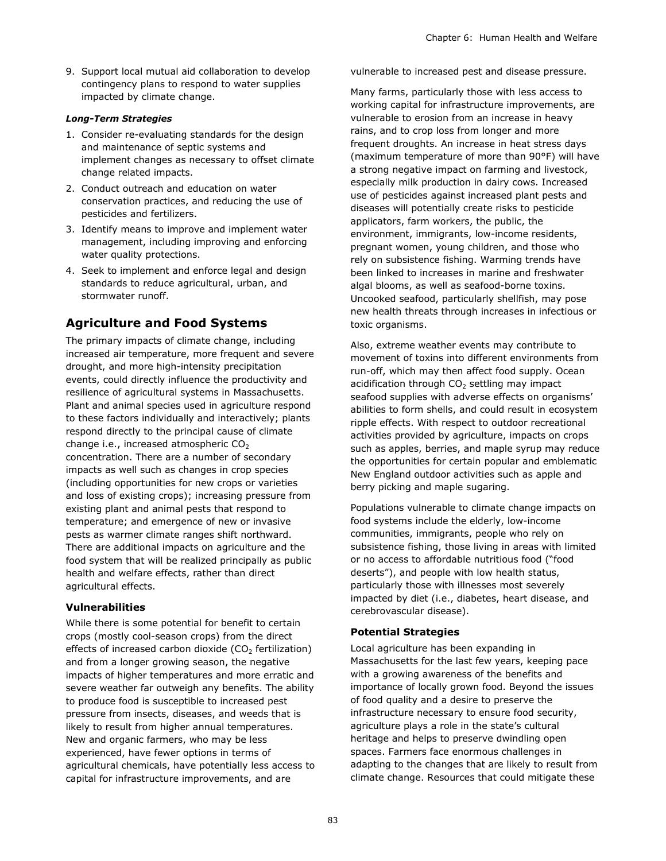9. Support local mutual aid collaboration to develop contingency plans to respond to water supplies impacted by climate change.

#### *Long-Term Strategies*

- 1. Consider re-evaluating standards for the design and maintenance of septic systems and implement changes as necessary to offset climate change related impacts.
- 2. Conduct outreach and education on water conservation practices, and reducing the use of pesticides and fertilizers.
- 3. Identify means to improve and implement water management, including improving and enforcing water quality protections.
- 4. Seek to implement and enforce legal and design standards to reduce agricultural, urban, and stormwater runoff.

# **Agriculture and Food Systems**

The primary impacts of climate change, including increased air temperature, more frequent and severe drought, and more high-intensity precipitation events, could directly influence the productivity and resilience of agricultural systems in Massachusetts. Plant and animal species used in agriculture respond to these factors individually and interactively; plants respond directly to the principal cause of climate change i.e., increased atmospheric  $CO<sub>2</sub>$ concentration. There are a number of secondary impacts as well such as changes in crop species (including opportunities for new crops or varieties and loss of existing crops); increasing pressure from existing plant and animal pests that respond to temperature; and emergence of new or invasive pests as warmer climate ranges shift northward. There are additional impacts on agriculture and the food system that will be realized principally as public health and welfare effects, rather than direct agricultural effects.

#### **Vulnerabilities**

While there is some potential for benefit to certain crops (mostly cool-season crops) from the direct effects of increased carbon dioxide  $(CO<sub>2</sub>$  fertilization) and from a longer growing season, the negative impacts of higher temperatures and more erratic and severe weather far outweigh any benefits. The ability to produce food is susceptible to increased pest pressure from insects, diseases, and weeds that is likely to result from higher annual temperatures. New and organic farmers, who may be less experienced, have fewer options in terms of agricultural chemicals, have potentially less access to capital for infrastructure improvements, and are

vulnerable to increased pest and disease pressure.

Many farms, particularly those with less access to working capital for infrastructure improvements, are vulnerable to erosion from an increase in heavy rains, and to crop loss from longer and more frequent droughts. An increase in heat stress days (maximum temperature of more than 90°F) will have a strong negative impact on farming and livestock, especially milk production in dairy cows. Increased use of pesticides against increased plant pests and diseases will potentially create risks to pesticide applicators, farm workers, the public, the environment, immigrants, low-income residents, pregnant women, young children, and those who rely on subsistence fishing. Warming trends have been linked to increases in marine and freshwater algal blooms, as well as seafood-borne toxins. Uncooked seafood, particularly shellfish, may pose new health threats through increases in infectious or toxic organisms.

Also, extreme weather events may contribute to movement of toxins into different environments from run-off, which may then affect food supply. Ocean acidification through  $CO<sub>2</sub>$  settling may impact seafood supplies with adverse effects on organisms' abilities to form shells, and could result in ecosystem ripple effects. With respect to outdoor recreational activities provided by agriculture, impacts on crops such as apples, berries, and maple syrup may reduce the opportunities for certain popular and emblematic New England outdoor activities such as apple and berry picking and maple sugaring.

Populations vulnerable to climate change impacts on food systems include the elderly, low-income communities, immigrants, people who rely on subsistence fishing, those living in areas with limited or no access to affordable nutritious food ("food deserts"), and people with low health status, particularly those with illnesses most severely impacted by diet (i.e., diabetes, heart disease, and cerebrovascular disease).

#### **Potential Strategies**

Local agriculture has been expanding in Massachusetts for the last few years, keeping pace with a growing awareness of the benefits and importance of locally grown food. Beyond the issues of food quality and a desire to preserve the infrastructure necessary to ensure food security, agriculture plays a role in the state's cultural heritage and helps to preserve dwindling open spaces. Farmers face enormous challenges in adapting to the changes that are likely to result from climate change. Resources that could mitigate these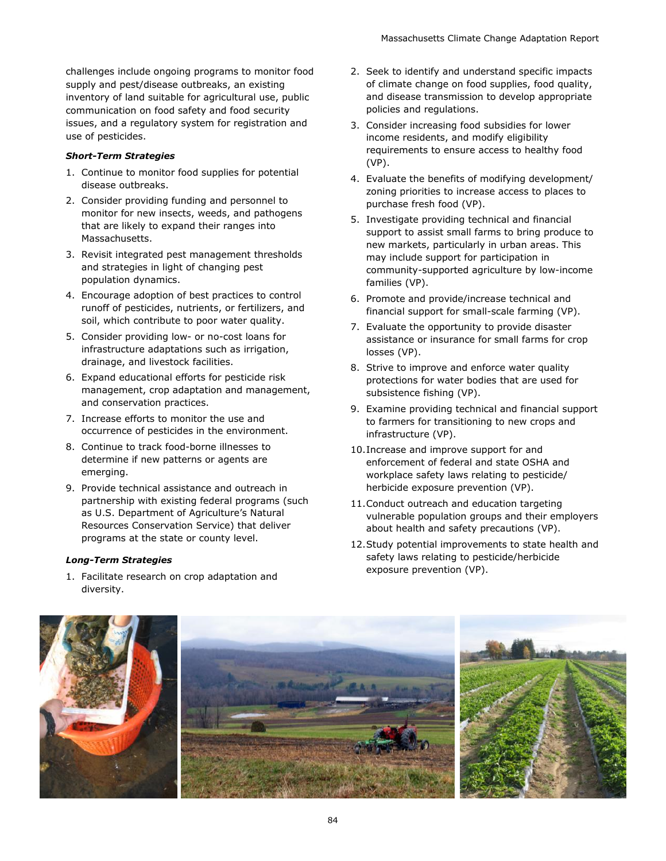challenges include ongoing programs to monitor food supply and pest/disease outbreaks, an existing inventory of land suitable for agricultural use, public communication on food safety and food security issues, and a regulatory system for registration and use of pesticides.

#### *Short-Term Strategies*

- 1. Continue to monitor food supplies for potential disease outbreaks.
- 2. Consider providing funding and personnel to monitor for new insects, weeds, and pathogens that are likely to expand their ranges into Massachusetts.
- 3. Revisit integrated pest management thresholds and strategies in light of changing pest population dynamics.
- 4. Encourage adoption of best practices to control runoff of pesticides, nutrients, or fertilizers, and soil, which contribute to poor water quality.
- 5. Consider providing low- or no-cost loans for infrastructure adaptations such as irrigation, drainage, and livestock facilities.
- 6. Expand educational efforts for pesticide risk management, crop adaptation and management, and conservation practices.
- 7. Increase efforts to monitor the use and occurrence of pesticides in the environment.
- 8. Continue to track food-borne illnesses to determine if new patterns or agents are emerging.
- 9. Provide technical assistance and outreach in partnership with existing federal programs (such as U.S. Department of Agriculture's Natural Resources Conservation Service) that deliver programs at the state or county level.

#### *Long-Term Strategies*

1. Facilitate research on crop adaptation and diversity.

- 2. Seek to identify and understand specific impacts of climate change on food supplies, food quality, and disease transmission to develop appropriate policies and regulations.
- 3. Consider increasing food subsidies for lower income residents, and modify eligibility requirements to ensure access to healthy food (VP).
- 4. Evaluate the benefits of modifying development/ zoning priorities to increase access to places to purchase fresh food (VP).
- 5. Investigate providing technical and financial support to assist small farms to bring produce to new markets, particularly in urban areas. This may include support for participation in community-supported agriculture by low-income families (VP).
- 6. Promote and provide/increase technical and financial support for small-scale farming (VP).
- 7. Evaluate the opportunity to provide disaster assistance or insurance for small farms for crop losses (VP).
- 8. Strive to improve and enforce water quality protections for water bodies that are used for subsistence fishing (VP).
- 9. Examine providing technical and financial support to farmers for transitioning to new crops and infrastructure (VP).
- 10.Increase and improve support for and enforcement of federal and state OSHA and workplace safety laws relating to pesticide/ herbicide exposure prevention (VP).
- 11.Conduct outreach and education targeting vulnerable population groups and their employers about health and safety precautions (VP).
- 12.Study potential improvements to state health and safety laws relating to pesticide/herbicide exposure prevention (VP).

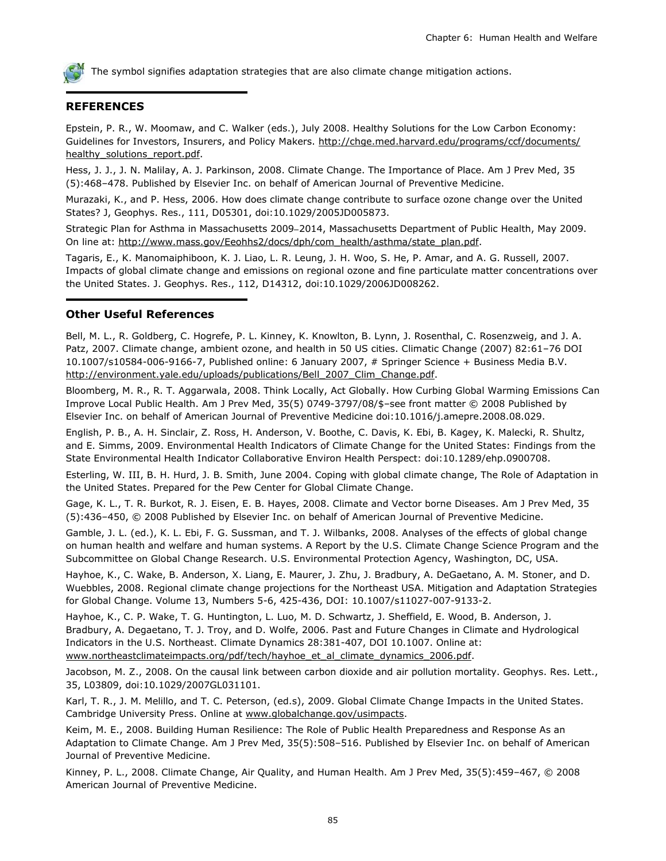

#### **REFERENCES**

Epstein, P. R., W. Moomaw, and C. Walker (eds.), July 2008. Healthy Solutions for the Low Carbon Economy: Guidelines for Investors, Insurers, and Policy Makers. [http://chge.med.harvard.edu/programs/ccf/documents/](http://chge.med.harvard.edu/programs/ccf/documents/healthy_solutions_report.pdf) healthy\_solutions\_report.pdf.

Hess, J. J., J. N. Malilay, A. J. Parkinson, 2008. Climate Change. The Importance of Place. Am J Prev Med, 35 (5):468–478. Published by Elsevier Inc. on behalf of American Journal of Preventive Medicine.

Murazaki, K., and P. Hess, 2006. How does climate change contribute to surface ozone change over the United States? J, Geophys. Res., 111, D05301, doi:10.1029/2005JD005873.

Strategic Plan for Asthma in Massachusetts 2009 2014, Massachusetts Department of Public Health, May 2009. On line at: [http://www.mass.gov/Eeohhs2/docs/dph/com\\_health/asthma/state\\_plan.pdf.](http://www.mass.gov/Eeohhs2/docs/dph/com_health/asthma/state_plan.pdf)

Tagaris, E., K. Manomaiphiboon, K. J. Liao, L. R. Leung, J. H. Woo, S. He, P. Amar, and A. G. Russell, 2007. Impacts of global climate change and emissions on regional ozone and fine particulate matter concentrations over the United States. J. Geophys. Res., 112, D14312, doi:10.1029/2006JD008262.

#### **Other Useful References**

Bell, M. L., R. Goldberg, C. Hogrefe, P. L. Kinney, K. Knowlton, B. Lynn, J. Rosenthal, C. Rosenzweig, and J. A. Patz, 2007. Climate change, ambient ozone, and health in 50 US cities. Climatic Change (2007) 82:61–76 DOI 10.1007/s10584-006-9166-7, Published online: 6 January 2007, # Springer Science + Business Media B.V. http://environment.yale.edu/uploads/publications/Bell\_2007\_Clim\_Change.pdf.

Bloomberg, M. R., R. T. Aggarwala, 2008. Think Locally, Act Globally. How Curbing Global Warming Emissions Can Improve Local Public Health. Am J Prev Med, 35(5) 0749-3797/08/\$–see front matter © 2008 Published by Elsevier Inc. on behalf of American Journal of Preventive Medicine doi:10.1016/j.amepre.2008.08.029.

English, P. B., A. H. Sinclair, Z. Ross, H. Anderson, V. Boothe, C. Davis, K. Ebi, B. Kagey, K. Malecki, R. Shultz, and E. Simms, 2009. Environmental Health Indicators of Climate Change for the United States: Findings from the State Environmental Health Indicator Collaborative Environ Health Perspect: doi:10.1289/ehp.0900708.

Esterling, W. III, B. H. Hurd, J. B. Smith, June 2004. Coping with global climate change, The Role of Adaptation in the United States. Prepared for the Pew Center for Global Climate Change.

Gage, K. L., T. R. Burkot, R. J. Eisen, E. B. Hayes, 2008. Climate and Vector borne Diseases. Am J Prev Med, 35 (5):436–450, © 2008 Published by Elsevier Inc. on behalf of American Journal of Preventive Medicine.

Gamble, J. L. (ed.), K. L. Ebi, F. G. Sussman, and T. J. Wilbanks, 2008. Analyses of the effects of global change on human health and welfare and human systems. A Report by the U.S. Climate Change Science Program and the Subcommittee on Global Change Research. U.S. Environmental Protection Agency, Washington, DC, USA.

Hayhoe, K., C. Wake, B. Anderson, X. Liang, E. Maurer, J. Zhu, J. Bradbury, A. DeGaetano, A. M. Stoner, and D. Wuebbles, 2008. Regional climate change projections for the Northeast USA. Mitigation and Adaptation Strategies for Global Change. Volume 13, Numbers 5-6, 425-436, DOI: 10.1007/s11027-007-9133-2.

Hayhoe, K., C. P. Wake, T. G. Huntington, L. Luo, M. D. Schwartz, J. Sheffield, E. Wood, B. Anderson, J. Bradbury, A. Degaetano, T. J. Troy, and D. Wolfe, 2006. Past and Future Changes in Climate and Hydrological Indicators in the U.S. Northeast. Climate Dynamics 28:381-407, DOI 10.1007. Online at: [www.northeastclimateimpacts.org/pdf/tech/hayhoe\\_et\\_al\\_climate\\_dynamics\\_2006.pdf.](http://www.northeastclimateimpacts.org/pdf/tech/hayhoe_et_al_climate_dynamics_2006.pdf)

Jacobson, M. Z., 2008. On the causal link between carbon dioxide and air pollution mortality. Geophys. Res. Lett., 35, L03809, doi:10.1029/2007GL031101.

Karl, T. R., J. M. Melillo, and T. C. Peterson, (ed.s), 2009. Global Climate Change Impacts in the United States. Cambridge University Press. Online at [www.globalchange.gov/usimpacts.](http://www.globalchange.gov/usimpacts)

Keim, M. E., 2008. Building Human Resilience: The Role of Public Health Preparedness and Response As an Adaptation to Climate Change. Am J Prev Med, 35(5):508–516. Published by Elsevier Inc. on behalf of American Journal of Preventive Medicine.

Kinney, P. L., 2008. Climate Change, Air Quality, and Human Health. Am J Prev Med, 35(5):459–467, © 2008 American Journal of Preventive Medicine.